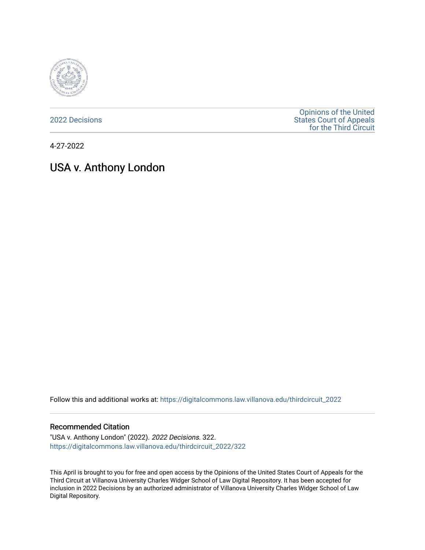

[2022 Decisions](https://digitalcommons.law.villanova.edu/thirdcircuit_2022)

[Opinions of the United](https://digitalcommons.law.villanova.edu/thirdcircuit)  [States Court of Appeals](https://digitalcommons.law.villanova.edu/thirdcircuit)  [for the Third Circuit](https://digitalcommons.law.villanova.edu/thirdcircuit) 

4-27-2022

# USA v. Anthony London

Follow this and additional works at: [https://digitalcommons.law.villanova.edu/thirdcircuit\\_2022](https://digitalcommons.law.villanova.edu/thirdcircuit_2022?utm_source=digitalcommons.law.villanova.edu%2Fthirdcircuit_2022%2F322&utm_medium=PDF&utm_campaign=PDFCoverPages) 

#### Recommended Citation

"USA v. Anthony London" (2022). 2022 Decisions. 322. [https://digitalcommons.law.villanova.edu/thirdcircuit\\_2022/322](https://digitalcommons.law.villanova.edu/thirdcircuit_2022/322?utm_source=digitalcommons.law.villanova.edu%2Fthirdcircuit_2022%2F322&utm_medium=PDF&utm_campaign=PDFCoverPages)

This April is brought to you for free and open access by the Opinions of the United States Court of Appeals for the Third Circuit at Villanova University Charles Widger School of Law Digital Repository. It has been accepted for inclusion in 2022 Decisions by an authorized administrator of Villanova University Charles Widger School of Law Digital Repository.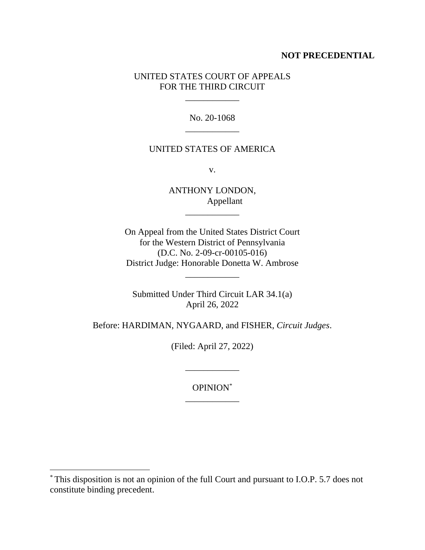## **NOT PRECEDENTIAL**

## UNITED STATES COURT OF APPEALS FOR THE THIRD CIRCUIT

 $\mathcal{L}=\mathcal{L}$ 

No. 20-1068 \_\_\_\_\_\_\_\_\_\_\_\_

#### UNITED STATES OF AMERICA

v.

ANTHONY LONDON, Appellant \_\_\_\_\_\_\_\_\_\_\_\_

On Appeal from the United States District Court for the Western District of Pennsylvania (D.C. No. 2-09-cr-00105-016) District Judge: Honorable Donetta W. Ambrose

\_\_\_\_\_\_\_\_\_\_\_\_

Submitted Under Third Circuit LAR 34.1(a) April 26, 2022

Before: HARDIMAN, NYGAARD, and FISHER, *Circuit Judges*.

(Filed: April 27, 2022)

\_\_\_\_\_\_\_\_\_\_\_\_

OPINION\* \_\_\_\_\_\_\_\_\_\_\_\_

<sup>\*</sup> This disposition is not an opinion of the full Court and pursuant to I.O.P. 5.7 does not constitute binding precedent.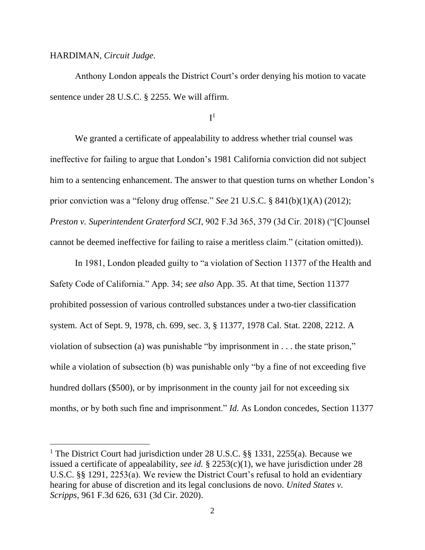#### HARDIMAN, *Circuit Judge*.

Anthony London appeals the District Court's order denying his motion to vacate sentence under 28 U.S.C. § 2255. We will affirm.

## ${\rm I}^1$

We granted a certificate of appealability to address whether trial counsel was ineffective for failing to argue that London's 1981 California conviction did not subject him to a sentencing enhancement. The answer to that question turns on whether London's prior conviction was a "felony drug offense." *See* 21 U.S.C. § 841(b)(1)(A) (2012); *Preston v. Superintendent Graterford SCI*, 902 F.3d 365, 379 (3d Cir. 2018) ("[C]ounsel cannot be deemed ineffective for failing to raise a meritless claim." (citation omitted)).

In 1981, London pleaded guilty to "a violation of Section 11377 of the Health and Safety Code of California." App. 34; *see also* App. 35. At that time, Section 11377 prohibited possession of various controlled substances under a two-tier classification system. Act of Sept. 9, 1978, ch. 699, sec. 3, § 11377, 1978 Cal. Stat. 2208, 2212. A violation of subsection (a) was punishable "by imprisonment in . . . the state prison," while a violation of subsection (b) was punishable only "by a fine of not exceeding five hundred dollars (\$500), or by imprisonment in the county jail for not exceeding six months, or by both such fine and imprisonment." *Id.* As London concedes, Section 11377

<sup>&</sup>lt;sup>1</sup> The District Court had jurisdiction under 28 U.S.C.  $\S$ § 1331, 2255(a). Because we issued a certificate of appealability, *see id.* § 2253(c)(1), we have jurisdiction under 28 U.S.C. §§ 1291, 2253(a). We review the District Court's refusal to hold an evidentiary hearing for abuse of discretion and its legal conclusions de novo. *United States v. Scripps*, 961 F.3d 626, 631 (3d Cir. 2020).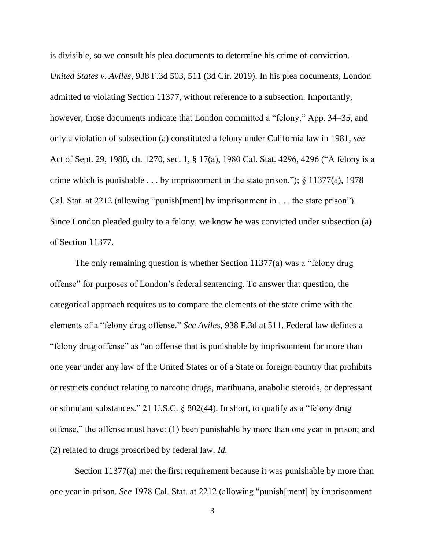is divisible, so we consult his plea documents to determine his crime of conviction.

*United States v. Aviles*, 938 F.3d 503, 511 (3d Cir. 2019). In his plea documents, London admitted to violating Section 11377, without reference to a subsection. Importantly, however, those documents indicate that London committed a "felony," App. 34–35, and only a violation of subsection (a) constituted a felony under California law in 1981, *see*  Act of Sept. 29, 1980, ch. 1270, sec. 1, § 17(a), 1980 Cal. Stat. 4296, 4296 ("A felony is a crime which is punishable . . . by imprisonment in the state prison.");  $\S$  11377(a), 1978 Cal. Stat. at 2212 (allowing "punish[ment] by imprisonment in . . . the state prison"). Since London pleaded guilty to a felony, we know he was convicted under subsection (a) of Section 11377.

The only remaining question is whether Section 11377(a) was a "felony drug offense" for purposes of London's federal sentencing. To answer that question, the categorical approach requires us to compare the elements of the state crime with the elements of a "felony drug offense." *See Aviles*, 938 F.3d at 511. Federal law defines a "felony drug offense" as "an offense that is punishable by imprisonment for more than one year under any law of the United States or of a State or foreign country that prohibits or restricts conduct relating to narcotic drugs, marihuana, anabolic steroids, or depressant or stimulant substances." 21 U.S.C. § 802(44). In short, to qualify as a "felony drug offense," the offense must have: (1) been punishable by more than one year in prison; and (2) related to drugs proscribed by federal law. *Id.*

Section 11377(a) met the first requirement because it was punishable by more than one year in prison. *See* 1978 Cal. Stat. at 2212 (allowing "punish[ment] by imprisonment

3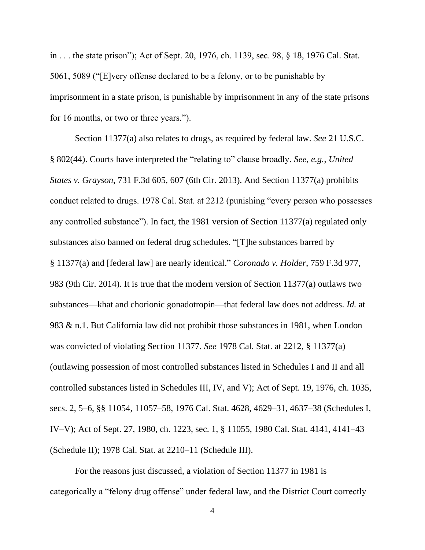in . . . the state prison"); Act of Sept. 20, 1976, ch. 1139, sec. 98, § 18, 1976 Cal. Stat. 5061, 5089 ("[E]very offense declared to be a felony, or to be punishable by imprisonment in a state prison, is punishable by imprisonment in any of the state prisons for 16 months, or two or three years.").

Section 11377(a) also relates to drugs, as required by federal law. *See* 21 U.S.C. § 802(44). Courts have interpreted the "relating to" clause broadly. *See, e.g.*, *United States v. Grayson*, 731 F.3d 605, 607 (6th Cir. 2013). And Section 11377(a) prohibits conduct related to drugs. 1978 Cal. Stat. at 2212 (punishing "every person who possesses any controlled substance"). In fact, the 1981 version of Section 11377(a) regulated only substances also banned on federal drug schedules. "[T]he substances barred by § 11377(a) and [federal law] are nearly identical." *Coronado v. Holder*, 759 F.3d 977, 983 (9th Cir. 2014). It is true that the modern version of Section 11377(a) outlaws two substances—khat and chorionic gonadotropin—that federal law does not address. *Id.* at 983 & n.1. But California law did not prohibit those substances in 1981, when London was convicted of violating Section 11377. *See* 1978 Cal. Stat. at 2212, § 11377(a) (outlawing possession of most controlled substances listed in Schedules I and II and all controlled substances listed in Schedules III, IV, and V); Act of Sept. 19, 1976, ch. 1035, secs. 2, 5–6, §§ 11054, 11057–58, 1976 Cal. Stat. 4628, 4629–31, 4637–38 (Schedules I, IV–V); Act of Sept. 27, 1980, ch. 1223, sec. 1, § 11055, 1980 Cal. Stat. 4141, 4141–43 (Schedule II); 1978 Cal. Stat. at 2210–11 (Schedule III).

For the reasons just discussed, a violation of Section 11377 in 1981 is categorically a "felony drug offense" under federal law, and the District Court correctly